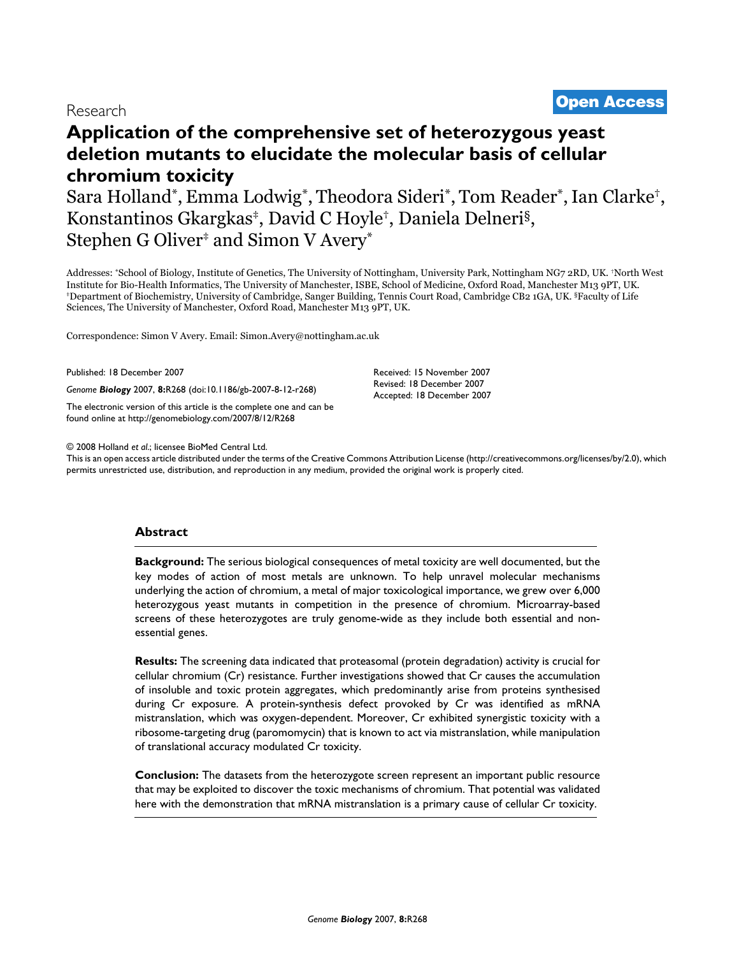# <sup>2007</sup> Holland et al. Volume 8, Issue 12, Article R268 **[Open Access](http://www.biomedcentral.com/info/about/charter/)** Research

# **Application of the comprehensive set of heterozygous yeast deletion mutants to elucidate the molecular basis of cellular chromium toxicity**

Sara Holland\*, Emma Lodwig\*, Theodora Sideri\*, Tom Reader\*, Ian Clarke†, Konstantinos Gkargkas<sup>‡</sup>, David C Hoyle<sup>†</sup>, Daniela Delneri<sup>§</sup>, Stephen G Oliver<sup>‡</sup> and Simon V Avery<sup>\*</sup>

Addresses: \*School of Biology, Institute of Genetics, The University of Nottingham, University Park, Nottingham NG7 2RD, UK. †North West Institute for Bio-Health Informatics, The University of Manchester, ISBE, School of Medicine, Oxford Road, Manchester M13 9PT, UK.<br>\*Department of Biochemistry, University of Cambridge, Sanger Building, Tennis Court Road, C Sciences, The University of Manchester, Oxford Road, Manchester M13 9PT, UK.

Correspondence: Simon V Avery. Email: Simon.Avery@nottingham.ac.uk

Published: 18 December 2007

*Genome Biology* 2007, **8:**R268 (doi:10.1186/gb-2007-8-12-r268)

[The electronic version of this article is the complete one and can be](http://genomebiology.com/2007/8/12/R268)  found online at http://genomebiology.com/2007/8/12/R268

© 2008 Holland *et al*.; licensee BioMed Central Ltd.

[This is an open access article distributed under the terms of the Creative Commons Attribution License \(http://creativecommons.org/licenses/by/2.0\), which](http://creativecommons.org/licenses/by/2.0)  permits unrestricted use, distribution, and reproduction in any medium, provided the original work is properly cited.

Received: 15 November 2007 Revised: 18 December 2007 Accepted: 18 December 2007

# **Abstract**

**Background:** The serious biological consequences of metal toxicity are well documented, but the key modes of action of most metals are unknown. To help unravel molecular mechanisms underlying the action of chromium, a metal of major toxicological importance, we grew over 6,000 heterozygous yeast mutants in competition in the presence of chromium. Microarray-based screens of these heterozygotes are truly genome-wide as they include both essential and nonessential genes.

**Results:** The screening data indicated that proteasomal (protein degradation) activity is crucial for cellular chromium (Cr) resistance. Further investigations showed that Cr causes the accumulation of insoluble and toxic protein aggregates, which predominantly arise from proteins synthesised during Cr exposure. A protein-synthesis defect provoked by Cr was identified as mRNA mistranslation, which was oxygen-dependent. Moreover, Cr exhibited synergistic toxicity with a ribosome-targeting drug (paromomycin) that is known to act via mistranslation, while manipulation of translational accuracy modulated Cr toxicity.

**Conclusion:** The datasets from the heterozygote screen represent an important public resource that may be exploited to discover the toxic mechanisms of chromium. That potential was validated here with the demonstration that mRNA mistranslation is a primary cause of cellular Cr toxicity.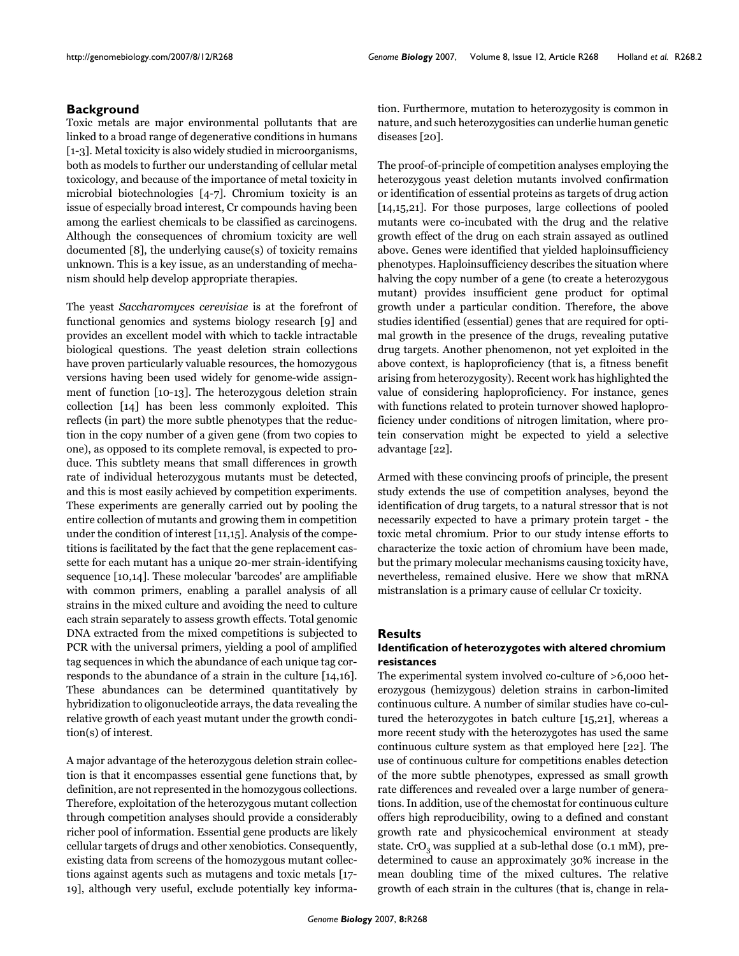## **Background**

Toxic metals are major environmental pollutants that are linked to a broad range of degenerative conditions in humans [1-3]. Metal toxicity is also widely studied in microorganisms, both as models to further our understanding of cellular metal toxicology, and because of the importance of metal toxicity in microbial biotechnologies [4-7]. Chromium toxicity is an issue of especially broad interest, Cr compounds having been among the earliest chemicals to be classified as carcinogens. Although the consequences of chromium toxicity are well documented [8], the underlying cause(s) of toxicity remains unknown. This is a key issue, as an understanding of mechanism should help develop appropriate therapies.

The yeast *Saccharomyces cerevisiae* is at the forefront of functional genomics and systems biology research [9] and provides an excellent model with which to tackle intractable biological questions. The yeast deletion strain collections have proven particularly valuable resources, the homozygous versions having been used widely for genome-wide assignment of function [10-13]. The heterozygous deletion strain collection [14] has been less commonly exploited. This reflects (in part) the more subtle phenotypes that the reduction in the copy number of a given gene (from two copies to one), as opposed to its complete removal, is expected to produce. This subtlety means that small differences in growth rate of individual heterozygous mutants must be detected, and this is most easily achieved by competition experiments. These experiments are generally carried out by pooling the entire collection of mutants and growing them in competition under the condition of interest [11,15]. Analysis of the competitions is facilitated by the fact that the gene replacement cassette for each mutant has a unique 20-mer strain-identifying sequence [10,14]. These molecular 'barcodes' are amplifiable with common primers, enabling a parallel analysis of all strains in the mixed culture and avoiding the need to culture each strain separately to assess growth effects. Total genomic DNA extracted from the mixed competitions is subjected to PCR with the universal primers, yielding a pool of amplified tag sequences in which the abundance of each unique tag corresponds to the abundance of a strain in the culture [14,16]. These abundances can be determined quantitatively by hybridization to oligonucleotide arrays, the data revealing the relative growth of each yeast mutant under the growth condition(s) of interest.

A major advantage of the heterozygous deletion strain collection is that it encompasses essential gene functions that, by definition, are not represented in the homozygous collections. Therefore, exploitation of the heterozygous mutant collection through competition analyses should provide a considerably richer pool of information. Essential gene products are likely cellular targets of drugs and other xenobiotics. Consequently, existing data from screens of the homozygous mutant collections against agents such as mutagens and toxic metals [17- 19], although very useful, exclude potentially key information. Furthermore, mutation to heterozygosity is common in nature, and such heterozygosities can underlie human genetic diseases [20].

The proof-of-principle of competition analyses employing the heterozygous yeast deletion mutants involved confirmation or identification of essential proteins as targets of drug action [14,15,21]. For those purposes, large collections of pooled mutants were co-incubated with the drug and the relative growth effect of the drug on each strain assayed as outlined above. Genes were identified that yielded haploinsufficiency phenotypes. Haploinsufficiency describes the situation where halving the copy number of a gene (to create a heterozygous mutant) provides insufficient gene product for optimal growth under a particular condition. Therefore, the above studies identified (essential) genes that are required for optimal growth in the presence of the drugs, revealing putative drug targets. Another phenomenon, not yet exploited in the above context, is haploproficiency (that is, a fitness benefit arising from heterozygosity). Recent work has highlighted the value of considering haploproficiency. For instance, genes with functions related to protein turnover showed haploproficiency under conditions of nitrogen limitation, where protein conservation might be expected to yield a selective advantage [\[22](#page-9-0)].

Armed with these convincing proofs of principle, the present study extends the use of competition analyses, beyond the identification of drug targets, to a natural stressor that is not necessarily expected to have a primary protein target - the toxic metal chromium. Prior to our study intense efforts to characterize the toxic action of chromium have been made, but the primary molecular mechanisms causing toxicity have, nevertheless, remained elusive. Here we show that mRNA mistranslation is a primary cause of cellular Cr toxicity.

#### **Results**

# **Identification of heterozygotes with altered chromium resistances**

The experimental system involved co-culture of >6,000 heterozygous (hemizygous) deletion strains in carbon-limited continuous culture. A number of similar studies have co-cultured the heterozygotes in batch culture [15,21], whereas a more recent study with the heterozygotes has used the same continuous culture system as that employed here [[22\]](#page-9-0). The use of continuous culture for competitions enables detection of the more subtle phenotypes, expressed as small growth rate differences and revealed over a large number of generations. In addition, use of the chemostat for continuous culture offers high reproducibility, owing to a defined and constant growth rate and physicochemical environment at steady state. CrO<sub>3</sub> was supplied at a sub-lethal dose (0.1 mM), predetermined to cause an approximately 30% increase in the mean doubling time of the mixed cultures. The relative growth of each strain in the cultures (that is, change in rela-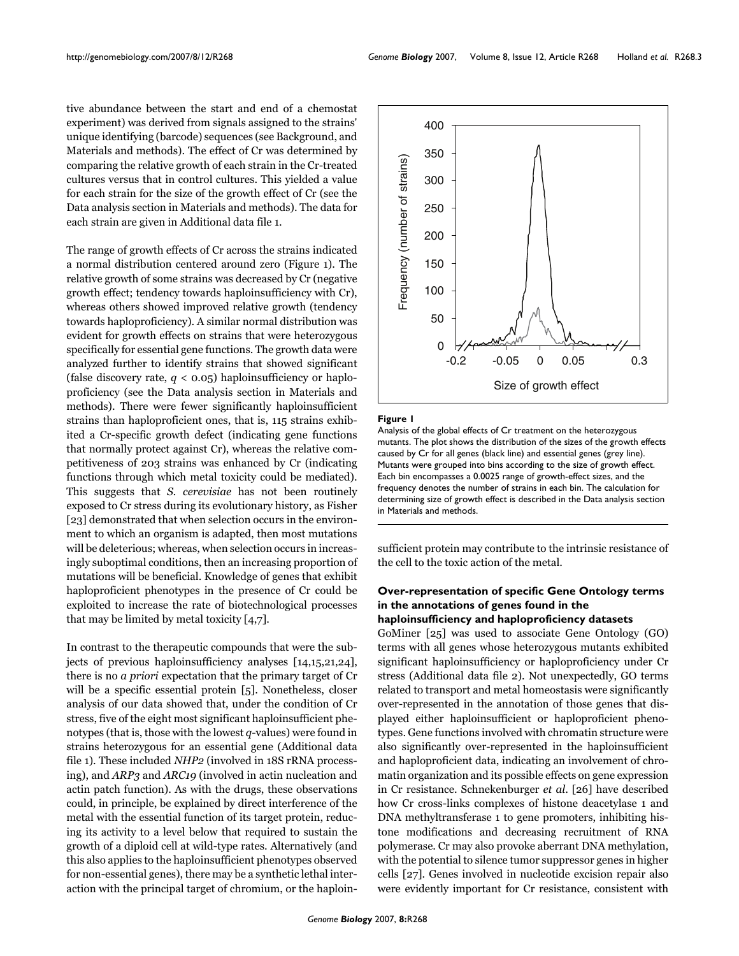tive abundance between the start and end of a chemostat experiment) was derived from signals assigned to the strains' unique identifying (barcode) sequences (see Background, and Materials and methods). The effect of Cr was determined by comparing the relative growth of each strain in the Cr-treated cultures versus that in control cultures. This yielded a value for each strain for the size of the growth effect of Cr (see the Data analysis section in Materials and methods). The data for each strain are given in Additional data file 1.

The range of growth effects of Cr across the strains indicated a normal distribution centered around zero (Figure 1). The relative growth of some strains was decreased by Cr (negative growth effect; tendency towards haploinsufficiency with Cr), whereas others showed improved relative growth (tendency towards haploproficiency). A similar normal distribution was evident for growth effects on strains that were heterozygous specifically for essential gene functions. The growth data were analyzed further to identify strains that showed significant (false discovery rate,  $q < 0.05$ ) haploinsufficiency or haploproficiency (see the Data analysis section in Materials and methods). There were fewer significantly haploinsufficient strains than haploproficient ones, that is, 115 strains exhibited a Cr-specific growth defect (indicating gene functions that normally protect against Cr), whereas the relative competitiveness of 203 strains was enhanced by Cr (indicating functions through which metal toxicity could be mediated). This suggests that *S. cerevisiae* has not been routinely exposed to Cr stress during its evolutionary history, as Fisher [23] demonstrated that when selection occurs in the environment to which an organism is adapted, then most mutations will be deleterious; whereas, when selection occurs in increasingly suboptimal conditions, then an increasing proportion of mutations will be beneficial. Knowledge of genes that exhibit haploproficient phenotypes in the presence of Cr could be exploited to increase the rate of biotechnological processes that may be limited by metal toxicity [4,7].

In contrast to the therapeutic compounds that were the subjects of previous haploinsufficiency analyses [14,15,21,24], there is no *a priori* expectation that the primary target of Cr will be a specific essential protein [5]. Nonetheless, closer analysis of our data showed that, under the condition of Cr stress, five of the eight most significant haploinsufficient phenotypes (that is, those with the lowest *q*-values) were found in strains heterozygous for an essential gene (Additional data file 1). These included *NHP2* (involved in 18S rRNA processing), and *ARP3* and *ARC19* (involved in actin nucleation and actin patch function). As with the drugs, these observations could, in principle, be explained by direct interference of the metal with the essential function of its target protein, reducing its activity to a level below that required to sustain the growth of a diploid cell at wild-type rates. Alternatively (and this also applies to the haploinsufficient phenotypes observed for non-essential genes), there may be a synthetic lethal interaction with the principal target of chromium, or the haploin-



#### Figure 1

Analysis of the global effects of Cr treatment on the heterozygous mutants. The plot shows the distribution of the sizes of the growth effects caused by Cr for all genes (black line) and essential genes (grey line). Mutants were grouped into bins according to the size of growth effect. Each bin encompasses a 0.0025 range of growth-effect sizes, and the frequency denotes the number of strains in each bin. The calculation for determining size of growth effect is described in the Data analysis section in Materials and methods.

sufficient protein may contribute to the intrinsic resistance of the cell to the toxic action of the metal.

# **Over-representation of specific Gene Ontology terms in the annotations of genes found in the haploinsufficiency and haploproficiency datasets**

GoMiner [25] was used to associate Gene Ontology (GO) terms with all genes whose heterozygous mutants exhibited significant haploinsufficiency or haploproficiency under Cr stress (Additional data file 2). Not unexpectedly, GO terms related to transport and metal homeostasis were significantly over-represented in the annotation of those genes that displayed either haploinsufficient or haploproficient phenotypes. Gene functions involved with chromatin structure were also significantly over-represented in the haploinsufficient and haploproficient data, indicating an involvement of chromatin organization and its possible effects on gene expression in Cr resistance. Schnekenburger *et al*. [26] have described how Cr cross-links complexes of histone deacetylase 1 and DNA methyltransferase 1 to gene promoters, inhibiting histone modifications and decreasing recruitment of RNA polymerase. Cr may also provoke aberrant DNA methylation, with the potential to silence tumor suppressor genes in higher cells [27]. Genes involved in nucleotide excision repair also were evidently important for Cr resistance, consistent with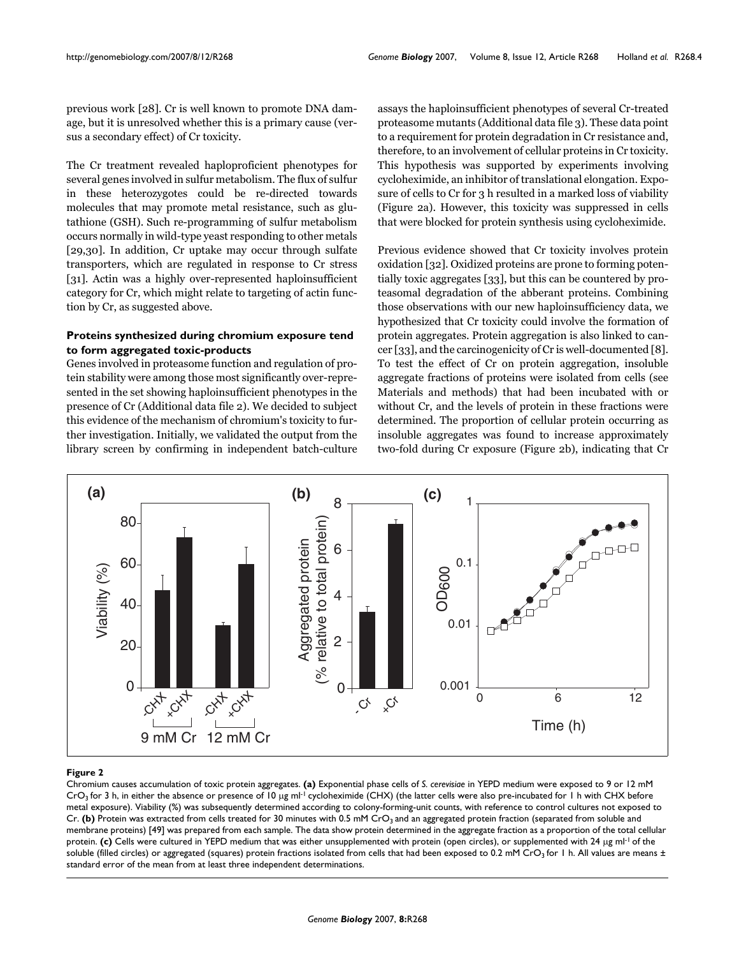previous work [28]. Cr is well known to promote DNA damage, but it is unresolved whether this is a primary cause (versus a secondary effect) of Cr toxicity.

The Cr treatment revealed haploproficient phenotypes for several genes involved in sulfur metabolism. The flux of sulfur in these heterozygotes could be re-directed towards molecules that may promote metal resistance, such as glutathione (GSH). Such re-programming of sulfur metabolism occurs normally in wild-type yeast responding to other metals [29,30]. In addition, Cr uptake may occur through sulfate transporters, which are regulated in response to Cr stress [31]. Actin was a highly over-represented haploinsufficient category for Cr, which might relate to targeting of actin function by Cr, as suggested above.

# **Proteins synthesized during chromium exposure tend to form aggregated toxic-products**

Genes involved in proteasome function and regulation of protein stability were among those most significantly over-represented in the set showing haploinsufficient phenotypes in the presence of Cr (Additional data file 2). We decided to subject this evidence of the mechanism of chromium's toxicity to further investigation. Initially, we validated the output from the library screen by confirming in independent batch-culture

assays the haploinsufficient phenotypes of several Cr-treated proteasome mutants (Additional data file 3). These data point to a requirement for protein degradation in Cr resistance and, therefore, to an involvement of cellular proteins in Cr toxicity. This hypothesis was supported by experiments involving cycloheximide, an inhibitor of translational elongation. Exposure of cells to Cr for 3 h resulted in a marked loss of viability (Figure 2a). However, this toxicity was suppressed in cells that were blocked for protein synthesis using cycloheximide.

Previous evidence showed that Cr toxicity involves protein oxidation [32]. Oxidized proteins are prone to forming potentially toxic aggregates [33], but this can be countered by proteasomal degradation of the abberant proteins. Combining those observations with our new haploinsufficiency data, we hypothesized that Cr toxicity could involve the formation of protein aggregates. Protein aggregation is also linked to cancer [33], and the carcinogenicity of Cr is well-documented [8]. To test the effect of Cr on protein aggregation, insoluble aggregate fractions of proteins were isolated from cells (see Materials and methods) that had been incubated with or without Cr, and the levels of protein in these fractions were determined. The proportion of cellular protein occurring as insoluble aggregates was found to increase approximately two-fold during Cr exposure (Figure 2b), indicating that Cr



#### Figure 2

Chromium causes accumulation of toxic protein aggregates. **(a)** Exponential phase cells of *S. cerevisiae* in YEPD medium were exposed to 9 or 12 mM CrO<sub>3</sub> for 3 h, in either the absence or presence of 10 μg ml<sup>-1</sup> cycloheximide (CHX) (the latter cells were also pre-incubated for 1 h with CHX before metal exposure). Viability (%) was subsequently determined according to colony-forming-unit counts, with reference to control cultures not exposed to Cr. (b) Protein was extracted from cells treated for 30 minutes with 0.5 mM CrO<sub>3</sub> and an aggregated protein fraction (separated from soluble and membrane proteins) [49] was prepared from each sample. The data show protein determined in the aggregate fraction as a proportion of the total cellular protein. **(c)** Cells were cultured in YEPD medium that was either unsupplemented with protein (open circles), or supplemented with 24 μg ml-1 of the soluble (filled circles) or aggregated (squares) protein fractions isolated from cells that had been exposed to 0.2 mM CrO<sub>3</sub> for 1 h. All values are means ± standard error of the mean from at least three independent determinations.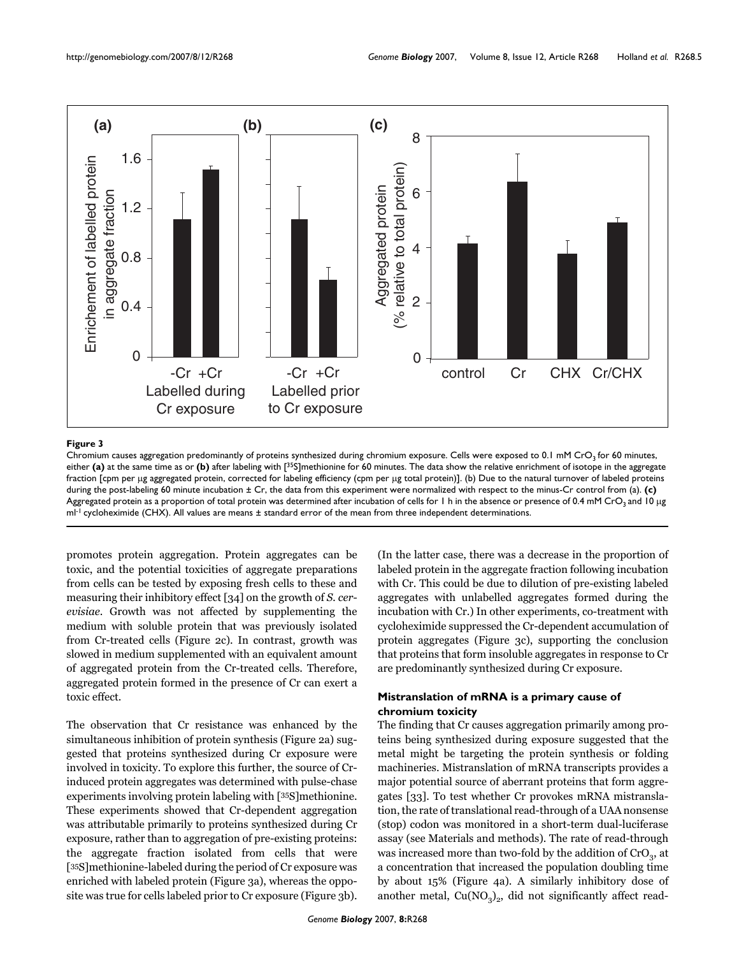

#### Chromium causes aggregation predominantly of proteins synthesized during chromium exposure **Figure 3**

Chromium causes aggregation predominantly of proteins synthesized during chromium exposure. Cells were exposed to 0.1 mM CrO<sub>3</sub> for 60 minutes, either **(a)** at the same time as or **(b)** after labeling with [35S]methionine for 60 minutes. The data show the relative enrichment of isotope in the aggregate fraction [cpm per μg aggregated protein, corrected for labeling efficiency (cpm per μg total protein)]. (b) Due to the natural turnover of labeled proteins during the post-labeling 60 minute incubation ± Cr, the data from this experiment were normalized with respect to the minus-Cr control from (a). **(c)**  Aggregated protein as a proportion of total protein was determined after incubation of cells for 1 h in the absence or presence of 0.4 mM CrO3 and 10 μg  $ml^{-1}$  cycloheximide (CHX). All values are means  $\pm$  standard error of the mean from three independent determinations.

promotes protein aggregation. Protein aggregates can be toxic, and the potential toxicities of aggregate preparations from cells can be tested by exposing fresh cells to these and measuring their inhibitory effect [34] on the growth of *S. cerevisiae*. Growth was not affected by supplementing the medium with soluble protein that was previously isolated from Cr-treated cells (Figure 2c). In contrast, growth was slowed in medium supplemented with an equivalent amount of aggregated protein from the Cr-treated cells. Therefore, aggregated protein formed in the presence of Cr can exert a toxic effect.

The observation that Cr resistance was enhanced by the simultaneous inhibition of protein synthesis (Figure 2a) suggested that proteins synthesized during Cr exposure were involved in toxicity. To explore this further, the source of Crinduced protein aggregates was determined with pulse-chase experiments involving protein labeling with [35S]methionine. These experiments showed that Cr-dependent aggregation was attributable primarily to proteins synthesized during Cr exposure, rather than to aggregation of pre-existing proteins: the aggregate fraction isolated from cells that were [35S]methionine-labeled during the period of Cr exposure was enriched with labeled protein (Figure 3a), whereas the opposite was true for cells labeled prior to Cr exposure (Figure 3b).

(In the latter case, there was a decrease in the proportion of labeled protein in the aggregate fraction following incubation with Cr. This could be due to dilution of pre-existing labeled aggregates with unlabelled aggregates formed during the incubation with Cr.) In other experiments, co-treatment with cycloheximide suppressed the Cr-dependent accumulation of protein aggregates (Figure 3c), supporting the conclusion that proteins that form insoluble aggregates in response to Cr are predominantly synthesized during Cr exposure.

# **Mistranslation of mRNA is a primary cause of chromium toxicity**

The finding that Cr causes aggregation primarily among proteins being synthesized during exposure suggested that the metal might be targeting the protein synthesis or folding machineries. Mistranslation of mRNA transcripts provides a major potential source of aberrant proteins that form aggregates [33]. To test whether Cr provokes mRNA mistranslation, the rate of translational read-through of a UAA nonsense (stop) codon was monitored in a short-term dual-luciferase assay (see Materials and methods). The rate of read-through was increased more than two-fold by the addition of  $C<sub>1</sub>$ , at a concentration that increased the population doubling time by about 15% (Figure 4a). A similarly inhibitory dose of another metal,  $Cu(NO<sub>3</sub>)<sub>2</sub>$ , did not significantly affect read-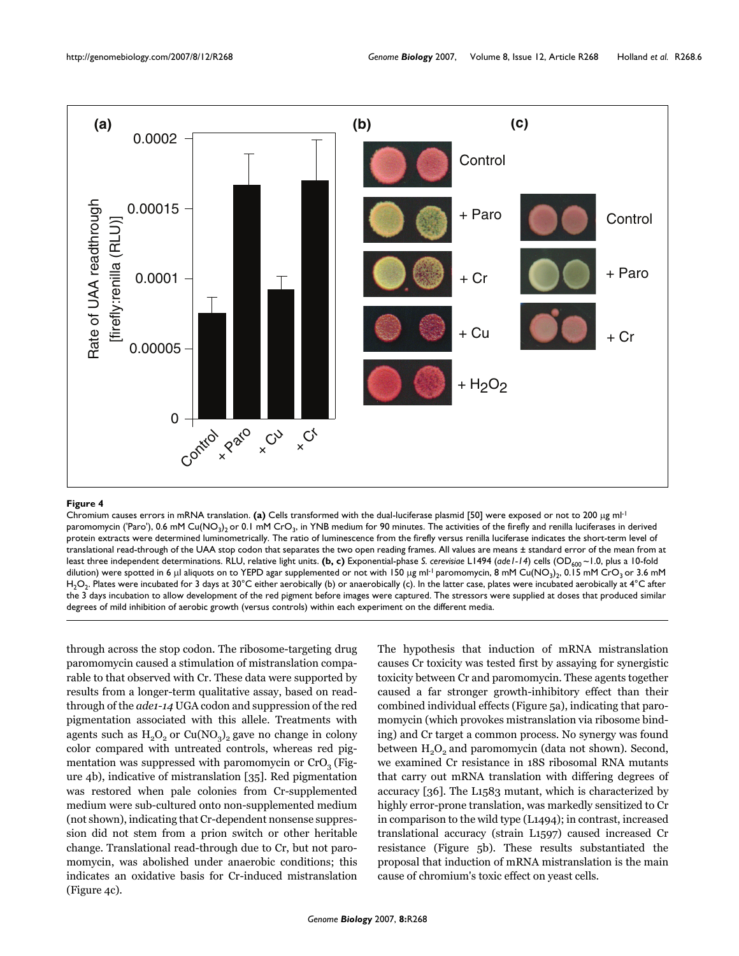

#### Figure 4

Chromium causes errors in mRNA translation. **(a)** Cells transformed with the dual-luciferase plasmid [50] were exposed or not to 200 μg ml-1 paromomycin ('Paro'), 0.6 mM Cu(NO<sub>3</sub>), or 0.1 mM CrO<sub>3</sub>, in YNB medium for 90 minutes. The activities of the firefly and renilla luciferases in derived protein extracts were determined luminometrically. The ratio of luminescence from the firefly versus renilla luciferase indicates the short-term level of translational read-through of the UAA stop codon that separates the two open reading frames. All values are means ± standard error of the mean from at least three independent determinations. RLU, relative light units. (b, c) Exponential-phase *S. cerevisiae* L1494 (ade1-14) cells (OD<sub>600</sub>~1.0, plus a 10-fold dilution) were spotted in 6 μl aliquots on to YEPD agar supplemented or not with 150 μg ml<sup>-1</sup> paromomycin, 8 mM Cu(NO<sub>3</sub>)<sub>2</sub>, 0.15 mM CrO<sub>3</sub> or 3.6 mM  $H_2O_2$ . Plates were incubated for 3 days at 30°C either aerobically (b) or anaerobically (c). In the latter case, plates were incubated aerobically at 4°C after the 3 days incubation to allow development of the red pigment before images were captured. The stressors were supplied at doses that produced similar degrees of mild inhibition of aerobic growth (versus controls) within each experiment on the different media.

through across the stop codon. The ribosome-targeting drug paromomycin caused a stimulation of mistranslation comparable to that observed with Cr. These data were supported by results from a longer-term qualitative assay, based on readthrough of the *ade1-14* UGA codon and suppression of the red pigmentation associated with this allele. Treatments with agents such as  $H_2O_2$  or  $Cu(NO_3)_2$  gave no change in colony color compared with untreated controls, whereas red pigmentation was suppressed with paromomycin or  $\text{CrO}_3$  (Figure 4b), indicative of mistranslation [35]. Red pigmentation was restored when pale colonies from Cr-supplemented medium were sub-cultured onto non-supplemented medium (not shown), indicating that Cr-dependent nonsense suppression did not stem from a prion switch or other heritable change. Translational read-through due to Cr, but not paromomycin, was abolished under anaerobic conditions; this indicates an oxidative basis for Cr-induced mistranslation (Figure 4c).

The hypothesis that induction of mRNA mistranslation causes Cr toxicity was tested first by assaying for synergistic toxicity between Cr and paromomycin. These agents together caused a far stronger growth-inhibitory effect than their combined individual effects (Figure 5a), indicating that paromomycin (which provokes mistranslation via ribosome binding) and Cr target a common process. No synergy was found between  $H_2O_2$  and paromomycin (data not shown). Second, we examined Cr resistance in 18S ribosomal RNA mutants that carry out mRNA translation with differing degrees of accuracy [36]. The L1583 mutant, which is characterized by highly error-prone translation, was markedly sensitized to Cr in comparison to the wild type (L1494); in contrast, increased translational accuracy (strain L1597) caused increased Cr resistance (Figure 5b). These results substantiated the proposal that induction of mRNA mistranslation is the main cause of chromium's toxic effect on yeast cells.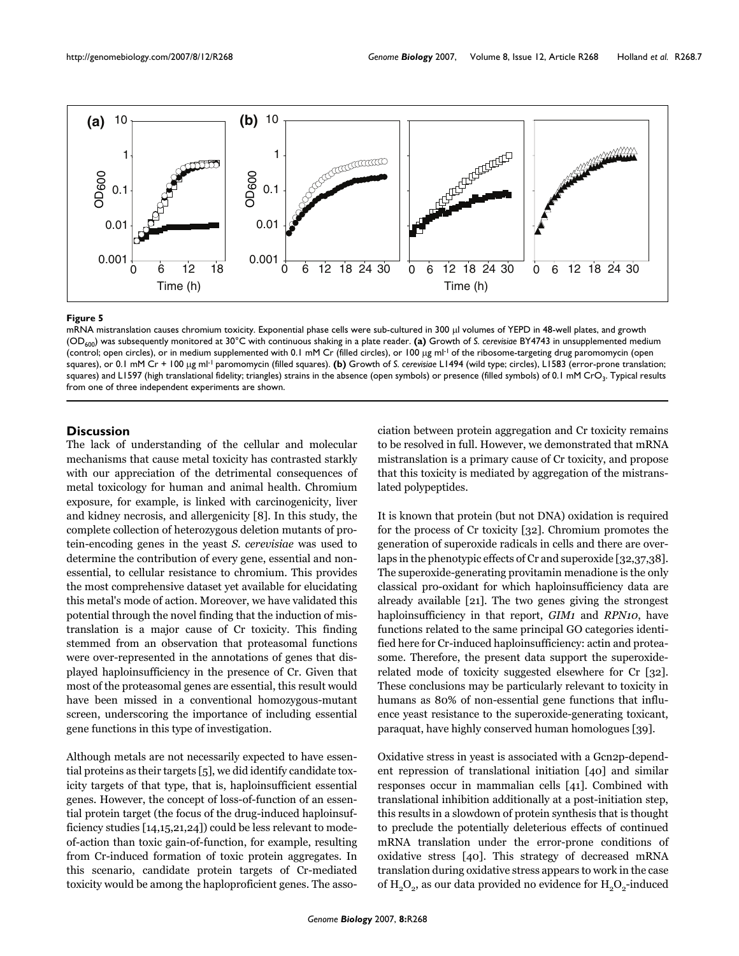

#### **Figure 5**

mRNA mistranslation causes chromium toxicity. Exponential phase cells were sub-cultured in 300 μl volumes of YEPD in 48-well plates, and growth (OD600) was subsequently monitored at 30°C with continuous shaking in a plate reader. **(a)** Growth of *S. cerevisiae* BY4743 in unsupplemented medium (control; open circles), or in medium supplemented with 0.1 mM Cr (filled circles), or 100 μg ml-1 of the ribosome-targeting drug paromomycin (open squares), or 0.1 mM Cr + 100 μg ml-1 paromomycin (filled squares). **(b)** Growth of *S. cerevisiae* L1494 (wild type; circles), L1583 (error-prone translation; squares) and L1597 (high translational fidelity; triangles) strains in the absence (open symbols) or presence (filled symbols) of 0.1 mM CrO<sub>3</sub>. Typical results from one of three independent experiments are shown.

# **Discussion**

The lack of understanding of the cellular and molecular mechanisms that cause metal toxicity has contrasted starkly with our appreciation of the detrimental consequences of metal toxicology for human and animal health. Chromium exposure, for example, is linked with carcinogenicity, liver and kidney necrosis, and allergenicity [8]. In this study, the complete collection of heterozygous deletion mutants of protein-encoding genes in the yeast *S. cerevisiae* was used to determine the contribution of every gene, essential and nonessential, to cellular resistance to chromium. This provides the most comprehensive dataset yet available for elucidating this metal's mode of action. Moreover, we have validated this potential through the novel finding that the induction of mistranslation is a major cause of Cr toxicity. This finding stemmed from an observation that proteasomal functions were over-represented in the annotations of genes that displayed haploinsufficiency in the presence of Cr. Given that most of the proteasomal genes are essential, this result would have been missed in a conventional homozygous-mutant screen, underscoring the importance of including essential gene functions in this type of investigation.

Although metals are not necessarily expected to have essential proteins as their targets [5], we did identify candidate toxicity targets of that type, that is, haploinsufficient essential genes. However, the concept of loss-of-function of an essential protein target (the focus of the drug-induced haploinsufficiency studies [14,15,21,24]) could be less relevant to modeof-action than toxic gain-of-function, for example, resulting from Cr-induced formation of toxic protein aggregates. In this scenario, candidate protein targets of Cr-mediated toxicity would be among the haploproficient genes. The association between protein aggregation and Cr toxicity remains to be resolved in full. However, we demonstrated that mRNA mistranslation is a primary cause of Cr toxicity, and propose that this toxicity is mediated by aggregation of the mistranslated polypeptides.

It is known that protein (but not DNA) oxidation is required for the process of Cr toxicity [32]. Chromium promotes the generation of superoxide radicals in cells and there are overlaps in the phenotypic effects of Cr and superoxide [32,37,38]. The superoxide-generating provitamin menadione is the only classical pro-oxidant for which haploinsufficiency data are already available [21]. The two genes giving the strongest haploinsufficiency in that report, *GIM1* and *RPN10*, have functions related to the same principal GO categories identified here for Cr-induced haploinsufficiency: actin and proteasome. Therefore, the present data support the superoxiderelated mode of toxicity suggested elsewhere for Cr [32]. These conclusions may be particularly relevant to toxicity in humans as 80% of non-essential gene functions that influence yeast resistance to the superoxide-generating toxicant, paraquat, have highly conserved human homologues [39].

Oxidative stress in yeast is associated with a Gcn2p-dependent repression of translational initiation [40] and similar responses occur in mammalian cells [41]. Combined with translational inhibition additionally at a post-initiation step, this results in a slowdown of protein synthesis that is thought to preclude the potentially deleterious effects of continued mRNA translation under the error-prone conditions of oxidative stress [40]. This strategy of decreased mRNA translation during oxidative stress appears to work in the case of  $H_2O_2$ , as our data provided no evidence for  $H_2O_2$ -induced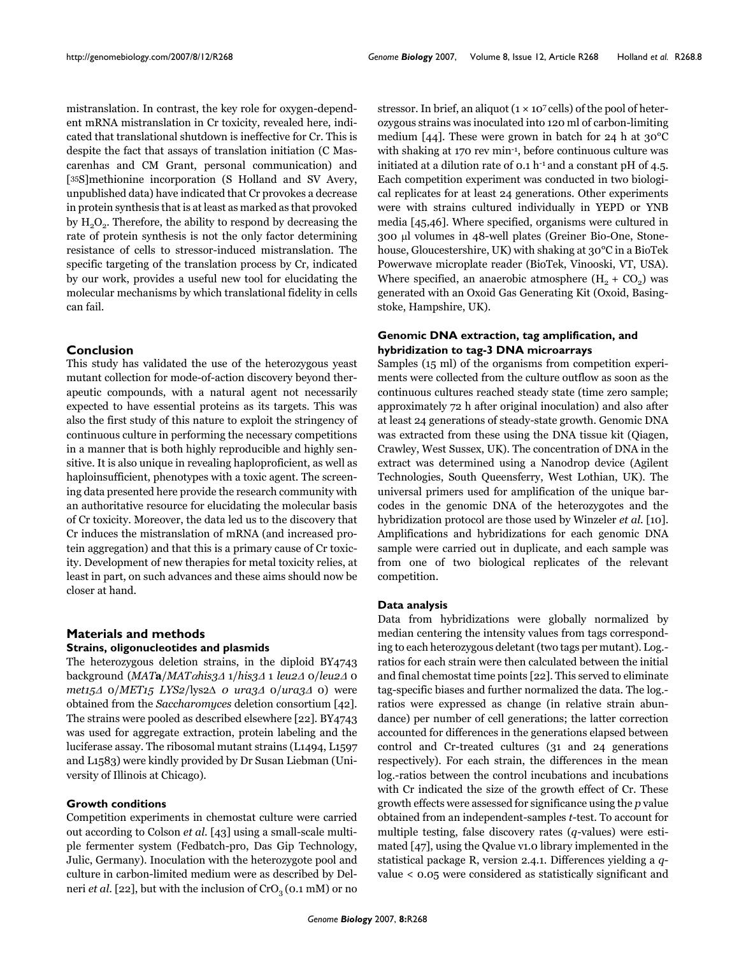mistranslation. In contrast, the key role for oxygen-dependent mRNA mistranslation in Cr toxicity, revealed here, indicated that translational shutdown is ineffective for Cr. This is despite the fact that assays of translation initiation (C Mascarenhas and CM Grant, personal communication) and [35S]methionine incorporation (S Holland and SV Avery, unpublished data) have indicated that Cr provokes a decrease in protein synthesis that is at least as marked as that provoked by  $H_2O_2$ . Therefore, the ability to respond by decreasing the rate of protein synthesis is not the only factor determining resistance of cells to stressor-induced mistranslation. The specific targeting of the translation process by Cr, indicated by our work, provides a useful new tool for elucidating the molecular mechanisms by which translational fidelity in cells can fail.

#### **Conclusion**

This study has validated the use of the heterozygous yeast mutant collection for mode-of-action discovery beyond therapeutic compounds, with a natural agent not necessarily expected to have essential proteins as its targets. This was also the first study of this nature to exploit the stringency of continuous culture in performing the necessary competitions in a manner that is both highly reproducible and highly sensitive. It is also unique in revealing haploproficient, as well as haploinsufficient, phenotypes with a toxic agent. The screening data presented here provide the research community with an authoritative resource for elucidating the molecular basis of Cr toxicity. Moreover, the data led us to the discovery that Cr induces the mistranslation of mRNA (and increased protein aggregation) and that this is a primary cause of Cr toxicity. Development of new therapies for metal toxicity relies, at least in part, on such advances and these aims should now be closer at hand.

#### **Materials and methods Strains, oligonucleotides and plasmids**

The heterozygous deletion strains, in the diploid BY4743 background (*MAT***a**/*MAT*α*his3*<sup>Δ</sup> 1/*his3*<sup>Δ</sup> 1 *leu2*<sup>Δ</sup> 0/*leu2*<sup>Δ</sup> 0 *met15*<sup>Δ</sup> 0/*MET15 LYS2*/lys2Δ *0 ura3*<sup>Δ</sup> 0/*ura3*<sup>Δ</sup> 0) were obtained from the *Saccharomyces* deletion consortium [42]. The strains were pooled as described elsewhere [\[22](#page-9-0)]. BY4743 was used for aggregate extraction, protein labeling and the luciferase assay. The ribosomal mutant strains (L1494, L1597 and L1583) were kindly provided by Dr Susan Liebman (University of Illinois at Chicago).

## **Growth conditions**

Competition experiments in chemostat culture were carried out according to Colson *et al*. [43] using a small-scale multiple fermenter system (Fedbatch-pro, Das Gip Technology, Julic, Germany). Inoculation with the heterozygote pool and culture in carbon-limited medium were as described by Delneri *et al.* [\[22](#page-9-0)], but with the inclusion of  $\text{CrO}_3$  (0.1 mM) or no

stressor. In brief, an aliquot  $(1 \times 10^7 \text{ cells})$  of the pool of heterozygous strains was inoculated into 120 ml of carbon-limiting medium [44]. These were grown in batch for 24 h at 30°C with shaking at 170 rev min<sup>-1</sup>, before continuous culture was initiated at a dilution rate of  $0.1$  h<sup>-1</sup> and a constant pH of 4.5. Each competition experiment was conducted in two biological replicates for at least 24 generations. Other experiments were with strains cultured individually in YEPD or YNB media [45,46]. Where specified, organisms were cultured in 300 μl volumes in 48-well plates (Greiner Bio-One, Stonehouse, Gloucestershire, UK) with shaking at 30°C in a BioTek Powerwave microplate reader (BioTek, Vinooski, VT, USA). Where specified, an anaerobic atmosphere  $(H_2 + CO_2)$  was generated with an Oxoid Gas Generating Kit (Oxoid, Basingstoke, Hampshire, UK).

## **Genomic DNA extraction, tag amplification, and hybridization to tag-3 DNA microarrays**

Samples (15 ml) of the organisms from competition experiments were collected from the culture outflow as soon as the continuous cultures reached steady state (time zero sample; approximately 72 h after original inoculation) and also after at least 24 generations of steady-state growth. Genomic DNA was extracted from these using the DNA tissue kit (Qiagen, Crawley, West Sussex, UK). The concentration of DNA in the extract was determined using a Nanodrop device (Agilent Technologies, South Queensferry, West Lothian, UK). The universal primers used for amplification of the unique barcodes in the genomic DNA of the heterozygotes and the hybridization protocol are those used by Winzeler *et al*. [10]. Amplifications and hybridizations for each genomic DNA sample were carried out in duplicate, and each sample was from one of two biological replicates of the relevant competition.

#### **Data analysis**

Data from hybridizations were globally normalized by median centering the intensity values from tags corresponding to each heterozygous deletant (two tags per mutant). Log. ratios for each strain were then calculated between the initial and final chemostat time points [\[22](#page-9-0)]. This served to eliminate tag-specific biases and further normalized the data. The log. ratios were expressed as change (in relative strain abundance) per number of cell generations; the latter correction accounted for differences in the generations elapsed between control and Cr-treated cultures (31 and 24 generations respectively). For each strain, the differences in the mean log.-ratios between the control incubations and incubations with Cr indicated the size of the growth effect of Cr. These growth effects were assessed for significance using the *p* value obtained from an independent-samples *t*-test. To account for multiple testing, false discovery rates (*q*-values) were estimated [47], using the Qvalue v1.0 library implemented in the statistical package R, version 2.4.1. Differences yielding a *q*value < 0.05 were considered as statistically significant and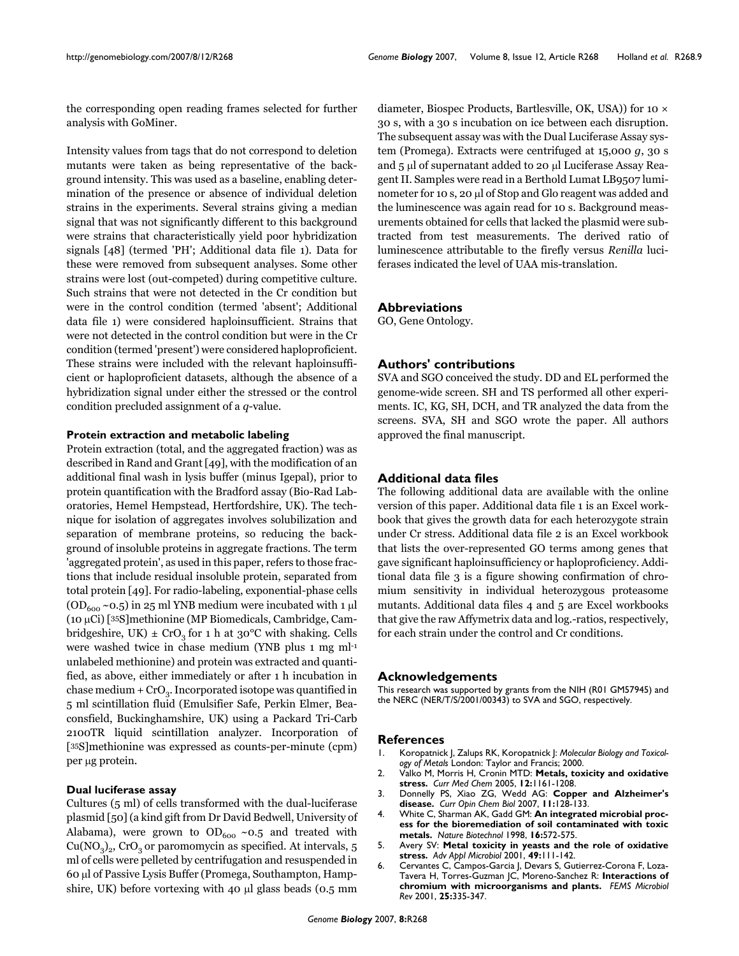the corresponding open reading frames selected for further analysis with GoMiner.

Intensity values from tags that do not correspond to deletion mutants were taken as being representative of the background intensity. This was used as a baseline, enabling determination of the presence or absence of individual deletion strains in the experiments. Several strains giving a median signal that was not significantly different to this background were strains that characteristically yield poor hybridization signals [48] (termed 'PH'; Additional data file 1). Data for these were removed from subsequent analyses. Some other strains were lost (out-competed) during competitive culture. Such strains that were not detected in the Cr condition but were in the control condition (termed 'absent'; Additional data file 1) were considered haploinsufficient. Strains that were not detected in the control condition but were in the Cr condition (termed 'present') were considered haploproficient. These strains were included with the relevant haploinsufficient or haploproficient datasets, although the absence of a hybridization signal under either the stressed or the control condition precluded assignment of a *q*-value.

#### **Protein extraction and metabolic labeling**

Protein extraction (total, and the aggregated fraction) was as described in Rand and Grant [49], with the modification of an additional final wash in lysis buffer (minus Igepal), prior to protein quantification with the Bradford assay (Bio-Rad Laboratories, Hemel Hempstead, Hertfordshire, UK). The technique for isolation of aggregates involves solubilization and separation of membrane proteins, so reducing the background of insoluble proteins in aggregate fractions. The term 'aggregated protein', as used in this paper, refers to those fractions that include residual insoluble protein, separated from total protein [49]. For radio-labeling, exponential-phase cells (OD<sub>600</sub> ~0.5) in 25 ml YNB medium were incubated with 1  $\mu$ l (10 μCi) [35S]methionine (MP Biomedicals, Cambridge, Cambridgeshire, UK)  $\pm$  CrO<sub>3</sub> for 1 h at 30°C with shaking. Cells were washed twice in chase medium (YNB plus 1 mg ml-1 unlabeled methionine) and protein was extracted and quantified, as above, either immediately or after 1 h incubation in chase medium  $+$  CrO<sub>3</sub>. Incorporated isotope was quantified in 5 ml scintillation fluid (Emulsifier Safe, Perkin Elmer, Beaconsfield, Buckinghamshire, UK) using a Packard Tri-Carb 2100TR liquid scintillation analyzer. Incorporation of [35S]methionine was expressed as counts-per-minute (cpm) per μg protein.

#### **Dual luciferase assay**

Cultures (5 ml) of cells transformed with the dual-luciferase plasmid [50] (a kind gift from Dr David Bedwell, University of Alabama), were grown to  $OD_{600} \sim 0.5$  and treated with  $Cu(NO<sub>3</sub>)<sub>2</sub>$ , CrO<sub>3</sub> or paromomycin as specified. At intervals, 5 ml of cells were pelleted by centrifugation and resuspended in 60 μl of Passive Lysis Buffer (Promega, Southampton, Hampshire, UK) before vortexing with 40 μl glass beads (0.5 mm

diameter, Biospec Products, Bartlesville, OK, USA)) for 10 × 30 s, with a 30 s incubation on ice between each disruption. The subsequent assay was with the Dual Luciferase Assay system (Promega). Extracts were centrifuged at 15,000 *g*, 30 s and 5 μl of supernatant added to 20 μl Luciferase Assay Reagent II. Samples were read in a Berthold Lumat LB9507 luminometer for 10 s, 20 μl of Stop and Glo reagent was added and the luminescence was again read for 10 s. Background measurements obtained for cells that lacked the plasmid were subtracted from test measurements. The derived ratio of luminescence attributable to the firefly versus *Renilla* luciferases indicated the level of UAA mis-translation.

# **Abbreviations**

GO, Gene Ontology.

## **Authors' contributions**

SVA and SGO conceived the study. DD and EL performed the genome-wide screen. SH and TS performed all other experiments. IC, KG, SH, DCH, and TR analyzed the data from the screens. SVA, SH and SGO wrote the paper. All authors approved the final manuscript.

## **Additional data files**

The following additional data are available with the online version of this paper. Additional data file 1 is an Excel workbook that gives the growth data for each heterozygote strain under Cr stress. Additional data file 2 is an Excel workbook that lists the over-represented GO terms among genes that gave significant haploinsufficiency or haploproficiency. Additional data file 3 is a figure showing confirmation of chromium sensitivity in individual heterozygous proteasome mutants. Additional data files 4 and 5 are Excel workbooks that give the raw Affymetrix data and log.-ratios, respectively, for each strain under the control and Cr conditions.

#### **Acknowledgements**

This research was supported by grants from the NIH (R01 GM57945) and the NERC (NER/T/S/2001/00343) to SVA and SGO, respectively.

#### **References**

- 1. Koropatnick J, Zalups RK, Koropatnick J: *Molecular Biology and Toxicology of Metals* London: Taylor and Francis; 2000.
- 2. Valko M, Morris H, Cronin MTD: **[Metals, toxicity and oxidative](http://www.ncbi.nlm.nih.gov/entrez/query.fcgi?cmd=Retrieve&db=PubMed&dopt=Abstract&list_uids=15892631) [stress.](http://www.ncbi.nlm.nih.gov/entrez/query.fcgi?cmd=Retrieve&db=PubMed&dopt=Abstract&list_uids=15892631)** *Curr Med Chem* 2005, **12:**1161-1208.
- 3. Donnelly PS, Xiao ZG, Wedd AG: **[Copper and Alzheimer's](http://www.ncbi.nlm.nih.gov/entrez/query.fcgi?cmd=Retrieve&db=PubMed&dopt=Abstract&list_uids=17300982) [disease.](http://www.ncbi.nlm.nih.gov/entrez/query.fcgi?cmd=Retrieve&db=PubMed&dopt=Abstract&list_uids=17300982)** *Curr Opin Chem Biol* 2007, **11:**128-133.
- 4. White C, Sharman AK, Gadd GM: **An integrated microbial process for the bioremediation of soil contaminated with toxic metals.** *Nature Biotechnol* 1998, **16:**572-575.
- 5. Avery SV: **[Metal toxicity in yeasts and the role of oxidative](http://www.ncbi.nlm.nih.gov/entrez/query.fcgi?cmd=Retrieve&db=PubMed&dopt=Abstract&list_uids=11757348) [stress.](http://www.ncbi.nlm.nih.gov/entrez/query.fcgi?cmd=Retrieve&db=PubMed&dopt=Abstract&list_uids=11757348)** *Adv Appl Microbiol* 2001, **49:**111-142.
- 6. Cervantes C, Campos-Garcia J, Devars S, Gutierrez-Corona F, Loza-Tavera H, Torres-Guzman JC, Moreno-Sanchez R: **[Interactions of](http://www.ncbi.nlm.nih.gov/entrez/query.fcgi?cmd=Retrieve&db=PubMed&dopt=Abstract&list_uids=11348688) [chromium with microorganisms and plants.](http://www.ncbi.nlm.nih.gov/entrez/query.fcgi?cmd=Retrieve&db=PubMed&dopt=Abstract&list_uids=11348688)** *FEMS Microbiol Rev* 2001, **25:**335-347.